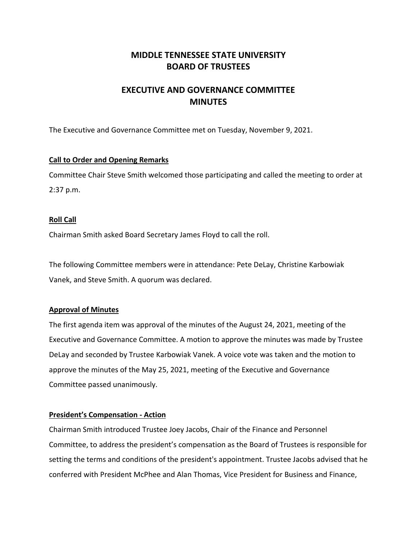## **MIDDLE TENNESSEE STATE UNIVERSITY BOARD OF TRUSTEES**

# **EXECUTIVE AND GOVERNANCE COMMITTEE MINUTES**

The Executive and Governance Committee met on Tuesday, November 9, 2021.

### **Call to Order and Opening Remarks**

Committee Chair Steve Smith welcomed those participating and called the meeting to order at 2:37 p.m.

### **Roll Call**

Chairman Smith asked Board Secretary James Floyd to call the roll.

The following Committee members were in attendance: Pete DeLay, Christine Karbowiak Vanek, and Steve Smith. A quorum was declared.

### **Approval of Minutes**

The first agenda item was approval of the minutes of the August 24, 2021, meeting of the Executive and Governance Committee. A motion to approve the minutes was made by Trustee DeLay and seconded by Trustee Karbowiak Vanek. A voice vote was taken and the motion to approve the minutes of the May 25, 2021, meeting of the Executive and Governance Committee passed unanimously.

### **President's Compensation - Action**

Chairman Smith introduced Trustee Joey Jacobs, Chair of the Finance and Personnel Committee, to address the president's compensation as the Board of Trustees is responsible for setting the terms and conditions of the president's appointment. Trustee Jacobs advised that he conferred with President McPhee and Alan Thomas, Vice President for Business and Finance,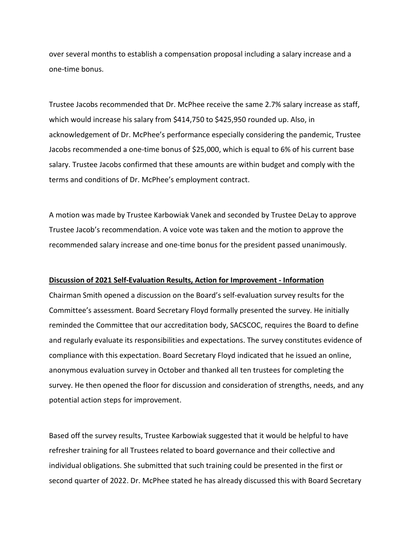over several months to establish a compensation proposal including a salary increase and a one-time bonus.

Trustee Jacobs recommended that Dr. McPhee receive the same 2.7% salary increase as staff, which would increase his salary from \$414,750 to \$425,950 rounded up. Also, in acknowledgement of Dr. McPhee's performance especially considering the pandemic, Trustee Jacobs recommended a one-time bonus of \$25,000, which is equal to 6% of his current base salary. Trustee Jacobs confirmed that these amounts are within budget and comply with the terms and conditions of Dr. McPhee's employment contract.

A motion was made by Trustee Karbowiak Vanek and seconded by Trustee DeLay to approve Trustee Jacob's recommendation. A voice vote was taken and the motion to approve the recommended salary increase and one-time bonus for the president passed unanimously.

#### **Discussion of 2021 Self-Evaluation Results, Action for Improvement - Information**

Chairman Smith opened a discussion on the Board's self-evaluation survey results for the Committee's assessment. Board Secretary Floyd formally presented the survey. He initially reminded the Committee that our accreditation body, SACSCOC, requires the Board to define and regularly evaluate its responsibilities and expectations. The survey constitutes evidence of compliance with this expectation. Board Secretary Floyd indicated that he issued an online, anonymous evaluation survey in October and thanked all ten trustees for completing the survey. He then opened the floor for discussion and consideration of strengths, needs, and any potential action steps for improvement.

Based off the survey results, Trustee Karbowiak suggested that it would be helpful to have refresher training for all Trustees related to board governance and their collective and individual obligations. She submitted that such training could be presented in the first or second quarter of 2022. Dr. McPhee stated he has already discussed this with Board Secretary